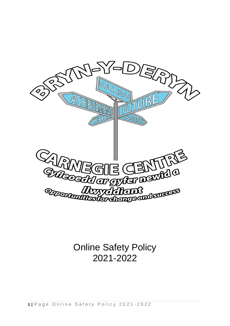

Online Safety Policy 2021-2022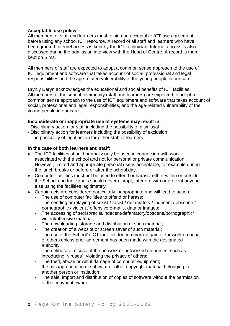# **Acceptable use policy**

All members of staff and learners must to sign an acceptable ICT use agreement before using any school ICT resource. A record of all staff and learners who have been granted Internet access is kept by the ICT technician. Internet access is also discussed during the admission interview with the Head of Centre. A record is then kept on Sims.

All members of staff are expected to adopt a common sense approach to the use of ICT equipment and software that takes account of social, professional and legal responsibilities and the age-related vulnerability of the young people in our care.

Bryn y Deryn acknowledges the educational and social benefits of ICT facilities. All members of the school community (staff and learners) are expected to adopt a common sense approach to the use of ICT equipment and software that takes account of social, professional and legal responsibilities, and the age-related vulnerability of the young people in our care.

### **Inconsiderate or inappropriate use of systems may result in:**

- Disciplinary action for staff including the possibility of dismissal
- Disciplinary action for learners including the possibility of exclusion
- The possibility of legal action for either staff or learners

### **In the case of both learners and staff:**

- The ICT facilities should normally only be used in connection with work associated with the school and not for personal or private communication. However, limited and appropriate personal use is acceptable, for example during the lunch breaks or before or after the school day.
- Computer facilities must not be used to offend or harass, either within or outside the School and Individuals should never disrupt, interfere with or prevent anyone else using the facilities legitimately.
- Certain acts are considered particularly inappropriate and will lead to action.
	- **-** The use of computer facilities to offend or harass;
	- **-** The sending or relaying of sexist / racist / defamatory / indecent / obscene / pornographic / violent / offensive e-mails, data or images;
	- **-** The accessing of sexist/racist/indecent/defamatory/obscene/pornographic/ violent/offensive material;
	- **-** The downloading, storage and distribution of such material;
	- **-** The creation of a website or screen saver of such material;
	- **-** The use of the School's ICT facilities for commercial gain or for work on behalf of others unless prior agreement has been made with the designated authority;
	- **-** The deliberate misuse of the network or networked resources, such as introducing "viruses", violating the privacy of others;
	- **-** The theft, abuse or wilful damage of computer equipment;
	- **-** the misappropriation of software or other copyright material belonging to another person or institution
	- **-** The sale, import and distribution of copies of software without the permission of the copyright owner.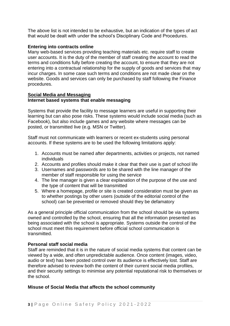The above list is not intended to be exhaustive, but an indication of the types of act that would be dealt with under the school's Disciplinary Code and Procedures.

# **Entering into contracts online**

Many web-based services providing teaching materials etc. require staff to create user accounts. It is the duty of the member of staff creating the account to read the terms and conditions fully before creating the account, to ensure that they are not entering into a contractual relationship for the supply of goods and services that may incur charges. In some case such terms and conditions are not made clear on the website. Goods and services can only be purchased by staff following the Finance procedures.

#### **Social Media and Messaging Internet based systems that enable messaging**

Systems that provide the facility to message learners are useful in supporting their learning but can also pose risks. These systems would include social media (such as Facebook), but also include games and any website where messages can be posted, or transmitted live (e.g. MSN or Twitter).

Staff must not communicate with learners or recent ex-students using personal accounts. If these systems are to be used the following limitations apply:

- 1. Accounts must be named after departments, activities or projects, not named individuals
- 2. Accounts and profiles should make it clear that their use is part of school life
- 3. Usernames and passwords are to be shared with the line manager of the member of staff responsible for using the service
- 4. The line manager is given a clear explanation of the purpose of the use and the type of content that will be transmitted
- 5. Where a homepage, profile or site is created consideration must be given as to whether postings by other users (outside of the editorial control of the school) can be prevented or removed should they be defamatory

As a general principle official communication from the school should be via systems owned and controlled by the school, ensuring that all the information presented as being associated with the school is appropriate. Systems outside the control of the school must meet this requirement before official school communication is transmitted.

# **Personal staff social media**

Staff are reminded that it is in the nature of social media systems that content can be viewed by a wide, and often unpredictable audience. Once content (images, video, audio or text) has been posted control over its audience is effectively lost. Staff are therefore advised to review both the content of their current social media profiles, and their security settings to minimise any potential reputational risk to themselves or the school.

### **Misuse of Social Media that affects the school community**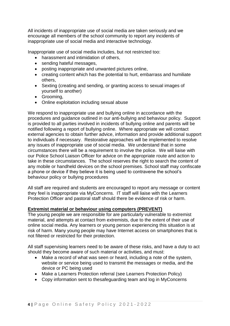All incidents of inappropriate use of social media are taken seriously and we encourage all members of the school community to report any incidents of inappropriate use of social media and interactive technology.

Inappropriate use of social media includes, but not restricted too:

- harassment and intimidation of others.
- sending hateful messages,
- posting inappropriate and unwanted pictures online,
- creating content which has the potential to hurt, embarrass and humiliate others,
- Sexting (creating and sending, or granting access to sexual images of yourself to another)
- Grooming,
- Online exploitation including sexual abuse

We respond to inappropriate use and bullying online in accordance with the procedures and guidance outlined in our anti-bullying and behaviour policy. Support is provided to all parties involved in incidents of bullying online and parents will be notified following a report of bullying online. Where appropriate we will contact external agencies to obtain further advice, information and provide additional support to individuals if necessary. Restorative approaches will be implemented to resolve any issues of inappropriate use of social media. We understand that in some circumstances there will be a requirement to involve the police. We will liaise with our Police School Liaison Officer for advice on the appropriate route and action to take in these circumstances. The school reserves the right to search the content of any mobile or handheld devices on the school premises. School staff may confiscate a phone or device if they believe it is being used to contravene the school's behaviour policy or bullying procedures

All staff are required and students are encouraged to report any message or content they feel is inappropriate via MyConcerns. IT staff will liaise with the Learners Protection Officer and pastoral staff should there be evidence of risk or harm.

# **Extremist material or behaviour using computers (PREVENT)**

The young people we are responsible for are particularly vulnerable to extremist material, and attempts at contact from extremists, due to the extent of their use of online social media. Any learners or young person experiencing this situation is at risk of harm. Many young people may have Internet access on smartphones that is not filtered or restricted for their protection.

All staff supervising learners need to be aware of these risks, and have a duty to act should they become aware of such material or activities, and must:

- Make a record of what was seen or heard, including a note of the system, website or service being used to transmit the messages or media, and the device or PC being used
- Make a Learners Protection referral (see Learners Protection Policy)
- Copy information sent to thesafeguarding team and log in MyConcerns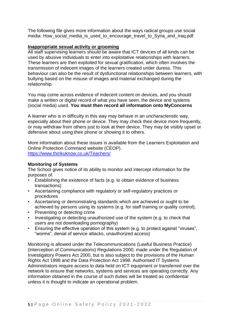The following file gives more information about the ways radical groups use social media: How\_social\_media\_is\_used\_to\_encourage\_travel\_to\_Syria\_and\_Iraq.pdf

### **Inappropriate sexual activity or grooming**

All staff supervising learners should be aware that ICT devices of all kinds can be used by abusive individuals to enter into exploitative relationships with learners. These learners are then exploited for sexual gratification, which often involves the transmission of indecent images of the learners created under duress. This behaviour can also be the result of dysfunctional relationships between learners, with bullying based on the misuse of images and material exchanged during the relationship.

You may come across evidence of indecent content on devices, and you should make a written or digital record of what you have seen, the device and systems (social media) used. **You must then record all information onto MyConcerns**

A learner who is in difficulty in this way may behave in an uncharacteristic way, especially about their phone or device. They may check their device more frequently, or may withdraw from others just to look at their device. They may be visibly upset or defensive about using their phone or showing it to others.

More information about these issues is available from the Learners Exploitation and Online Protection Command website (CEOP). <https://www.thinkuknow.co.uk/Teachers/>

### **Monitoring of Systems**

The School gives notice of its ability to monitor and intercept information for the purposes of.

- Establishing the existence of facts (e.g. to obtain evidence of business transactions)
- Ascertaining compliance with regulatory or self-regulatory practices or procedures
- Ascertaining or demonstrating standards which are achieved or ought to be achieved by persons using its systems (e.g. for staff training or quality control);
- Preventing or detecting crime
- Investigating or detecting unauthorized use of the system (e.g. to check that users are not downloading pornography)
- Ensuring the effective operation of this system (e.g. to protect against "viruses", "worms", denial of service attacks, unauthorized access)

Monitoring is allowed under the Telecommunications (Lawful Business Practice) (Interception of Communications) Regulations 2000, made under the Regulation of Investigatory Powers Act 2000, but is also subject to the provisions of the Human Rights Act 1998 and the Data Protection Act 1998. Authorised IT Systems Administrators require access to data held on ICT equipment or transferred over the network to ensure that networks, systems and services are operating correctly. Any information obtained in the course of such duties will be treated as confidential unless it is thought to indicate an operational problem.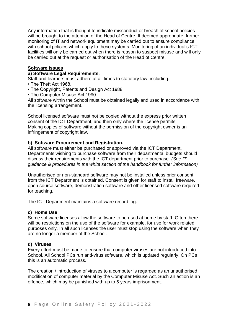Any information that is thought to indicate misconduct or breach of school policies will be brought to the attention of the Head of Centre. If deemed appropriate, further monitoring of IT and network equipment may be carried out to ensure compliance with school policies which apply to these systems. Monitoring of an individual's ICT facilities will only be carried out when there is reason to suspect misuse and will only be carried out at the request or authorisation of the Head of Centre.

### **Software Issues**

### **a) Software Legal Requirements.**

Staff and learners must adhere at all times to statutory law, including.

- The Theft Act 1968.
- The Copyright, Patents and Design Act 1988.
- The Computer Misuse Act 1990.

All software within the School must be obtained legally and used in accordance with the licensing arrangement.

School licensed software must not be copied without the express prior written consent of the ICT Department, and then only where the license permits. Making copies of software without the permission of the copyright owner is an infringement of copyright law.

### **b) Software Procurement and Registration.**

All software must either be purchased or approved via the ICT Department. Departments wishing to purchase software from their departmental budgets should discuss their requirements with the ICT department prior to purchase. *(See IT guidance & procedures in the white section of the handbook for further information)* 

Unauthorised or non-standard software may not be installed unless prior consent from the ICT Department is obtained. Consent is given for staff to install freeware, open source software, demonstration software and other licensed software required for teaching.

The ICT Department maintains a software record log.

### **c) Home Use**

Some software licenses allow the software to be used at home by staff. Often there will be restrictions on the use of the software for example, for use for work related purposes only. In all such licenses the user must stop using the software when they are no longer a member of the School.

### **d) Viruses**

Every effort must be made to ensure that computer viruses are not introduced into School. All School PCs run anti-virus software, which is updated regularly. On PCs this is an automatic process.

The creation / introduction of viruses to a computer is regarded as an unauthorised modification of computer material by the Computer Misuse Act. Such an action is an offence, which may be punished with up to 5 years imprisonment.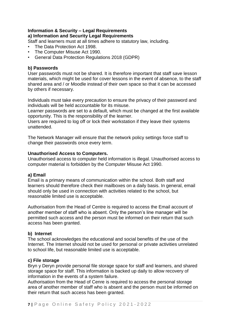#### **Information & Security – Legal Requirements a) Information and Security Legal Requirements**

Staff and learners must at all times adhere to statutory law, including.

- The Data Protection Act 1998.
- The Computer Misuse Act 1990.
- General Data Protection Regulations 2018 (GDPR)

### **b) Passwords**

User passwords must not be shared. It is therefore important that staff save lesson materials, which might be used for cover lessons in the event of absence, to the staff shared area and / or Moodle instead of their own space so that it can be accessed by others if necessary.

Individuals must take every precaution to ensure the privacy of their password and individuals will be held accountable for its misuse.

Learner passwords are set to a default, which must be changed at the first available opportunity. This is the responsibility of the learner.

Users are required to log off or lock their workstation if they leave their systems unattended.

The Network Manager will ensure that the network policy settings force staff to change their passwords once every term.

### **Unauthorised Access to Computers.**

Unauthorised access to computer held information is illegal. Unauthorised access to computer material is forbidden by the Computer Misuse Act 1990.

### **a) Email**

Email is a primary means of communication within the school. Both staff and learners should therefore check their mailboxes on a daily basis. In general, email should only be used in connection with activities related to the school, but reasonable limited use is acceptable.

Authorisation from the Head of Centre is required to access the Email account of another member of staff who is absent. Only the person's line manager will be permitted such access and the person must be informed on their return that such access has been granted.

### **b) Internet**

The school acknowledges the educational and social benefits of the use of the Internet. The Internet should not be used for personal or private activities unrelated to school life, but reasonable limited use is acceptable.

### **c) File storage**

Bryn y Deryn provide personal file storage space for staff and learners, and shared storage space for staff. This information is backed up daily to allow recovery of information in the events of a system failure.

Authorisation from the Head of Cenre is required to access the personal storage area of another member of staff who is absent and the person must be informed on their return that such access has been granted.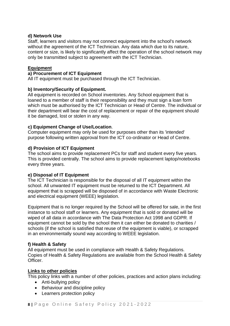### **d) Network Use**

Staff, learners and visitors may not connect equipment into the school's network without the agreement of the ICT Technician. Any data which due to its nature, content or size, is likely to significantly affect the operation of the school network may only be transmitted subject to agreement with the ICT Technician.

# **Equipment**

### **a) Procurement of ICT Equipment**

All IT equipment must be purchased through the ICT Technician.

# **b) Inventory/Security of Equipment.**

All equipment is recorded on School inventories. Any School equipment that is loaned to a member of staff is their responsibility and they must sign a loan form which must be authorised by the ICT Technician or Head of Centre. The individual or their department will bear the cost of replacement or repair of the equipment should it be damaged, lost or stolen in any way.

# **c) Equipment Change of Use/Location**.

Computer equipment may only be used for purposes other than its 'intended' purpose following written approval from the ICT co-ordinator or Head of Centre.

### **d) Provision of ICT Equipment**

The school aims to provide replacement PCs for staff and student every five years. This is provided centrally. The school aims to provide replacement laptop/notebooks every three years.

# **e) Disposal of IT Equipment**

The ICT Technician is responsible for the disposal of all IT equipment within the school. All unwanted IT equipment must be returned to the ICT Department. All equipment that is scrapped will be disposed of in accordance with Waste Electronic and electrical equipment (WEEE) legislation.

Equipment that is no longer required by the School will be offered for sale, in the first instance to school staff or learners. Any equipment that is sold or donated will be wiped of all data in accordance with The Data Protection Act 1998 and GDPR. If equipment cannot be sold by the school then it can either be donated to charities / schools (if the school is satisfied that reuse of the equipment is viable), or scrapped in an environmentally sound way according to WEEE legislation.

# **f) Health & Safety**

All equipment must be used in compliance with Health & Safety Regulations. Copies of Health & Safety Regulations are available from the School Health & Safety Officer.

### **Links to other policies**

This policy links with a number of other policies, practices and action plans including:

- Anti-bullying policy
- Behaviour and discipline policy
- Learners protection policy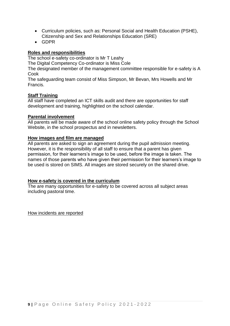- Curriculum policies, such as: Personal Social and Health Education (PSHE), Citizenship and Sex and Relationships Education (SRE)
- GDPR

### **Roles and responsibilities**

The school e-safety co-ordinator is Mr T Leahy

The Digital Competency Co-ordinator is Miss Cole

The designated member of the management committee responsible for e-safety is A Cook

The safeguarding team consist of Miss Simpson, Mr Bevan, Mrs Howells and Mr Francis.

### **Staff Training**

All staff have completed an ICT skills audit and there are opportunities for staff development and training, highlighted on the school calendar.

### **Parental involvement**

All parents will be made aware of the school online safety policy through the School Website, in the school prospectus and in newsletters.

#### **How images and film are managed**

All parents are asked to sign an agreement during the pupil admission meeting. However, it is the responsibility of all staff to ensure that a parent has given permission, for their learners's image to be used, before the image is taken. The names of those parents who have given their permission for their learners's image to be used is stored on SIMS. All images are stored securely on the shared drive.

### **How e-safety is covered in the curriculum**

The are many opportunities for e-safety to be covered across all subject areas including pastoral time.

How incidents are reported